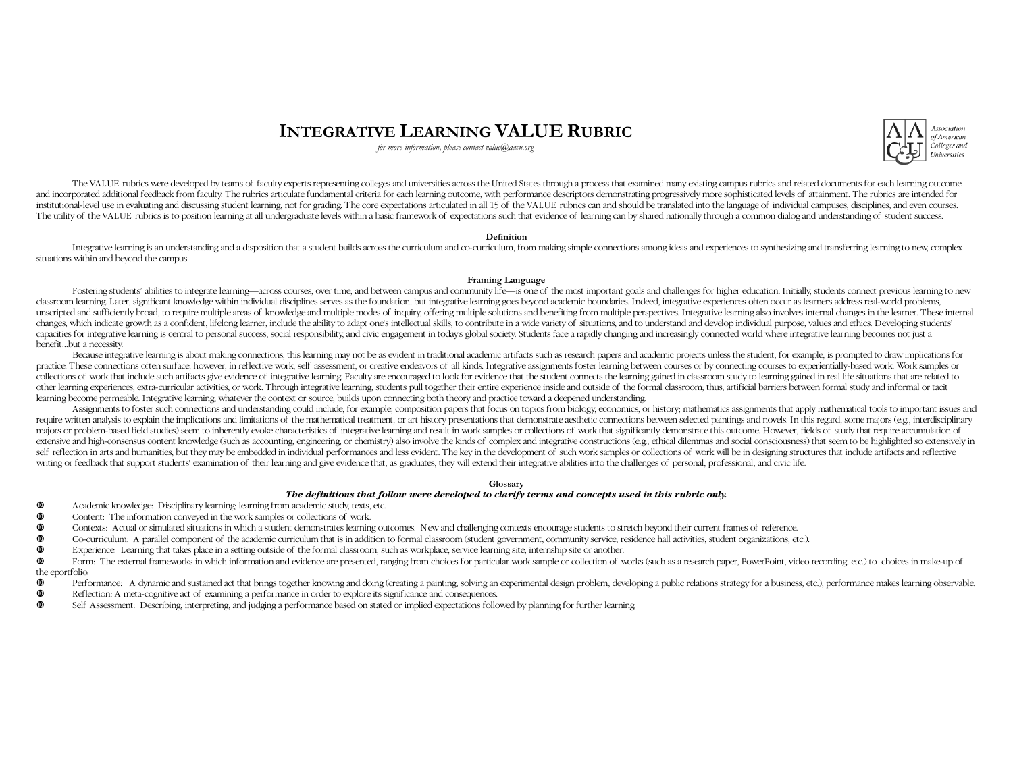# **INTEGRATIVE LEARNING VALUE <sup>R</sup>UBRIC**

*for more information, please contact value@aacu.org*



The VALUE rubrics were developed by teams of faculty experts representing colleges and universities across the United States through a process that examined many existing campus rubrics and related documents for each learn and incorporated additional feedback from faculty. The rubrics articulate fundamental criteria for each learning outcome, with performance descriptors demonstrating progressively more sophisticated levels of attainment. Th institutional-level use in evaluating and discussing student learning, not for grading. The core expectations articulated in all 15 of the VALUE rubrics can and should be translated into the language of individual campuses The utility of the VALUE rubrics is to position learning at all undergraduate levels within a basic framework of expectations such that evidence of learning can by shared nationally through a common dialog and understandin

#### **Definition**

Integrative learning is an understanding and a disposition that a student builds across the curriculum and co-curriculum, from making simple connections among ideas and experiences to synthesizing and transferring learning situations within and beyond the campus.

### **Framing Language**

Fostering students' abilities to integrate learning—across courses, over time, and between campus and community life—is one of the most important goals and challenges for higher education. Initially, students connect previ classroom learning. Later, significant knowledge within individual disciplines serves as the foundation, but integrative learning goes beyond academic boundaries. Indeed, integrative experiences often occur as learners add unscripted and sufficiently broad, to require multiple areas of knowledge and multiple modes of inquiry, offering multiple solutions and benefiting from multiple perspectives. Integrative learning also involves internal ch changes, which indicate growth as a confident, lifelong learner, include the ability to adapt one's intellectual skills, to contribute in a wide variety of situations, and to understand and develop individual purpose, valu capacities for integrative learning is central to personal success, social responsibility, and civic engagement in today's global society. Students face a rapidly changing and increasingly connected world where integrative benefit...but a necessity.

Because integrative learning is about making connections, this learning may not be as evident in traditional academic artifacts such as research papers and academic projects unless the student, for example, is prompted to practice. These connections often surface, however, in reflective work, self assessment, or creative endeavors of all kinds. Integrative assignments foster learning between courses or by connecting courses to experientiall collections of work that include such artifacts give evidence of integrative learning. Faculty are encouraged to look for evidence that the student connects the learning gained in classroom study to learning gained in real other learning experiences, extra-curricular activities, or work. Through integrative learning, students pull together their entire experience inside and outside of the formal classroom; thus, artificial barriers between f learning become permeable. Integrative learning, whatever the context or source, builds upon connecting both theory and practice toward a deepened understanding.

Assignments to foster such connections and understanding could include, for example, composition papers that focus on topics from biology, economics, or history; mathematics assignments that apply mathematical tools to imp require written analysis to explain the implications and limitations of the mathematical treatment, or art history presentations that demonstrate aesthetic connections between selected paintings and novels. In this regard, majors or problem-based field studies) seem to inherently evoke characteristics of integrative learning and result in work samples or collections of work that significantly demonstrate this outcome. However, fields of stud extensive and high-consensus content knowledge (such as accounting, engineering, or chemistry) also involve the kinds of complex and integrative constructions (e.g., ethical dilemmas and social consciousness) that seem to self reflection in arts and humanities, but they may be embedded in individual performances and less evident. The key in the development of such work samples or collections of work will be in designing structures that incl writing or feedback that support students' examination of their learning and give evidence that, as graduates, they will extend their integrative abilities into the challenges of personal, professional, and civic life.

#### **Glossary**

### *The definitions that follow were developed to clarify terms and concepts used in this rubric only.*

- $\mathbf 0$ Academic knowledge: Disciplinary learning; learning from academic study, texts, etc.
- $\mathbf{w}$ Content: The information conveyed in the work samples or collections of work.
- $\Phi$ Contexts: Actual or simulated situations in which a student demonstrates learning outcomes. New and challenging contexts encourage students to stretch beyond their current frames of reference.
- wCo-curriculum: A parallel component of the academic curriculum that is in addition to formal classroom (student government, community service, residence hall activities, student organizations, etc.).<br>Experience: Learning t
- $\mathbf 0$
- **®** Experience: Learning that takes place in a setting outside of the formal classroom, such as workplace, service learning site, internship site or another.<br>● Porm: The external frameworks in which information and evidenc the eportfolio.
- **<sup>10</sup>** Performance: A dynamic and sustained act that brings together knowing and doing (creating a painting, solving an experimental design problem, developing a public relations strategy for a business, etc.); performance  $\Phi$
- $\mathbf{C}$ Reflection: A meta-cognitive act of examining a performance in order to explore its significance and consequences.
- $\mathbf{C}$ Self Assessment: Describing, interpreting, and judging a performance based on stated or implied expectations followed by planning for further learning.